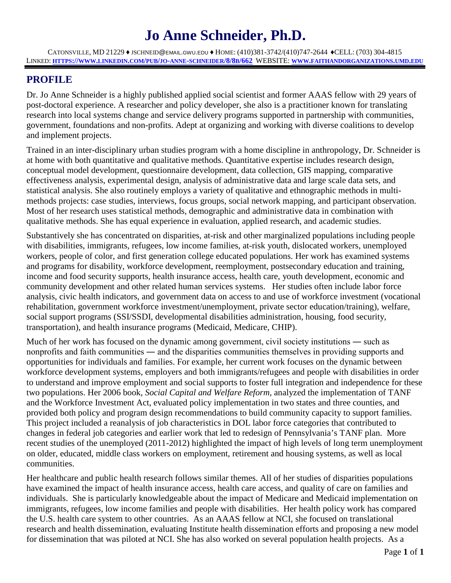# **Jo Anne Schneider, Ph.D.**

CATONSVILLE, MD 21229 ♦ JSCHNEID@EMAIL.GWU.EDU ♦ HOME: (410)381-3742/(410)747-2644 ♦CELL: (703) 304-4815 LINKED: **[HTTPS://WWW.LINKEDIN.COM/PUB/JO-ANNE-SCHNEIDER/8/8B/662](https://www.linkedin.com/pub/jo-anne-schneider/8/8b/662)** WEBSITE: **[WWW.FAITHANDORGANIZATIONS.UMD.EDU](http://www.faithandorganizations.umd.edu/)**

# **PROFILE**

Dr. Jo Anne Schneider is a highly published applied social scientist and former AAAS fellow with 29 years of post-doctoral experience. A researcher and policy developer, she also is a practitioner known for translating research into local systems change and service delivery programs supported in partnership with communities, government, foundations and non-profits. Adept at organizing and working with diverse coalitions to develop and implement projects.

Trained in an inter-disciplinary urban studies program with a home discipline in anthropology, Dr. Schneider is at home with both quantitative and qualitative methods. Quantitative expertise includes research design, conceptual model development, questionnaire development, data collection, GIS mapping, comparative effectiveness analysis, experimental design, analysis of administrative data and large scale data sets, and statistical analysis. She also routinely employs a variety of qualitative and ethnographic methods in multimethods projects: case studies, interviews, focus groups, social network mapping, and participant observation. Most of her research uses statistical methods, demographic and administrative data in combination with qualitative methods. She has equal experience in evaluation, applied research, and academic studies.

Substantively she has concentrated on disparities, at-risk and other marginalized populations including people with disabilities, immigrants, refugees, low income families, at-risk youth, dislocated workers, unemployed workers, people of color, and first generation college educated populations. Her work has examined systems and programs for disability, workforce development, reemployment, postsecondary education and training, income and food security supports, health insurance access, health care, youth development, economic and community development and other related human services systems. Her studies often include labor force analysis, civic health indicators, and government data on access to and use of workforce investment (vocational rehabilitation, government workforce investment/unemployment, private sector education/training), welfare, social support programs (SSI/SSDI, developmental disabilities administration, housing, food security, transportation), and health insurance programs (Medicaid, Medicare, CHIP).

Much of her work has focused on the dynamic among government, civil society institutions ― such as nonprofits and faith communities ― and the disparities communities themselves in providing supports and opportunities for individuals and families. For example, her current work focuses on the dynamic between workforce development systems, employers and both immigrants/refugees and people with disabilities in order to understand and improve employment and social supports to foster full integration and independence for these two populations. Her 2006 book, *Social Capital and Welfare Reform*, analyzed the implementation of TANF and the Workforce Investment Act, evaluated policy implementation in two states and three counties, and provided both policy and program design recommendations to build community capacity to support families. This project included a reanalysis of job characteristics in DOL labor force categories that contributed to changes in federal job categories and earlier work that led to redesign of Pennsylvania's TANF plan. More recent studies of the unemployed (2011-2012) highlighted the impact of high levels of long term unemployment on older, educated, middle class workers on employment, retirement and housing systems, as well as local communities.

Her healthcare and public health research follows similar themes. All of her studies of disparities populations have examined the impact of health insurance access, health care access, and quality of care on families and individuals. She is particularly knowledgeable about the impact of Medicare and Medicaid implementation on immigrants, refugees, low income families and people with disabilities. Her health policy work has compared the U.S. health care system to other countries. As an AAAS fellow at NCI, she focused on translational research and health dissemination, evaluating Institute health dissemination efforts and proposing a new model for dissemination that was piloted at NCI. She has also worked on several population health projects. As a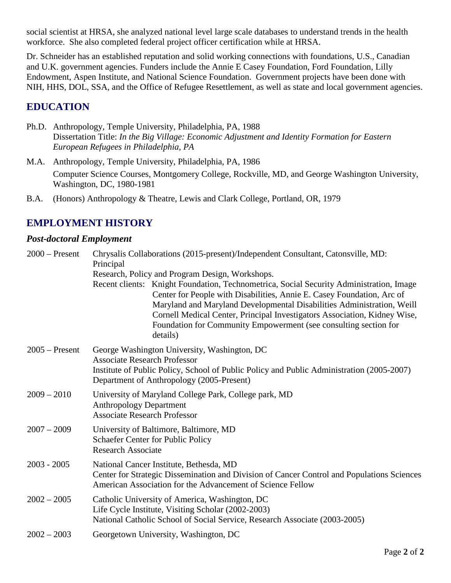social scientist at HRSA, she analyzed national level large scale databases to understand trends in the health workforce. She also completed federal project officer certification while at HRSA.

Dr. Schneider has an established reputation and solid working connections with foundations, U.S., Canadian and U.K. government agencies. Funders include the Annie E Casey Foundation, Ford Foundation, Lilly Endowment, Aspen Institute, and National Science Foundation. Government projects have been done with NIH, HHS, DOL, SSA, and the Office of Refugee Resettlement, as well as state and local government agencies.

# **EDUCATION**

- Ph.D. Anthropology, Temple University, Philadelphia, PA, 1988 Dissertation Title: *In the Big Village: Economic Adjustment and Identity Formation for Eastern European Refugees in Philadelphia, PA*
- M.A. Anthropology, Temple University, Philadelphia, PA, 1986 Computer Science Courses, Montgomery College, Rockville, MD, and George Washington University, Washington, DC, 1980-1981
- B.A. (Honors) Anthropology & Theatre, Lewis and Clark College, Portland, OR, 1979

# **EMPLOYMENT HISTORY**

# *Post-doctoral Employment*

| $2000$ – Present | Chrysalis Collaborations (2015-present)/Independent Consultant, Catonsville, MD:<br>Principal                                                                                                                                                                                                                                                                                                            |
|------------------|----------------------------------------------------------------------------------------------------------------------------------------------------------------------------------------------------------------------------------------------------------------------------------------------------------------------------------------------------------------------------------------------------------|
|                  | Research, Policy and Program Design, Workshops.                                                                                                                                                                                                                                                                                                                                                          |
|                  | Recent clients: Knight Foundation, Technometrica, Social Security Administration, Image<br>Center for People with Disabilities, Annie E. Casey Foundation, Arc of<br>Maryland and Maryland Developmental Disabilities Administration, Weill<br>Cornell Medical Center, Principal Investigators Association, Kidney Wise,<br>Foundation for Community Empowerment (see consulting section for<br>details) |
| $2005$ – Present | George Washington University, Washington, DC<br><b>Associate Research Professor</b><br>Institute of Public Policy, School of Public Policy and Public Administration (2005-2007)<br>Department of Anthropology (2005-Present)                                                                                                                                                                            |
| $2009 - 2010$    | University of Maryland College Park, College park, MD<br><b>Anthropology Department</b><br><b>Associate Research Professor</b>                                                                                                                                                                                                                                                                           |
| $2007 - 2009$    | University of Baltimore, Baltimore, MD<br>Schaefer Center for Public Policy<br><b>Research Associate</b>                                                                                                                                                                                                                                                                                                 |
| $2003 - 2005$    | National Cancer Institute, Bethesda, MD<br>Center for Strategic Dissemination and Division of Cancer Control and Populations Sciences<br>American Association for the Advancement of Science Fellow                                                                                                                                                                                                      |
| $2002 - 2005$    | Catholic University of America, Washington, DC<br>Life Cycle Institute, Visiting Scholar (2002-2003)<br>National Catholic School of Social Service, Research Associate (2003-2005)                                                                                                                                                                                                                       |
| $2002 - 2003$    | Georgetown University, Washington, DC                                                                                                                                                                                                                                                                                                                                                                    |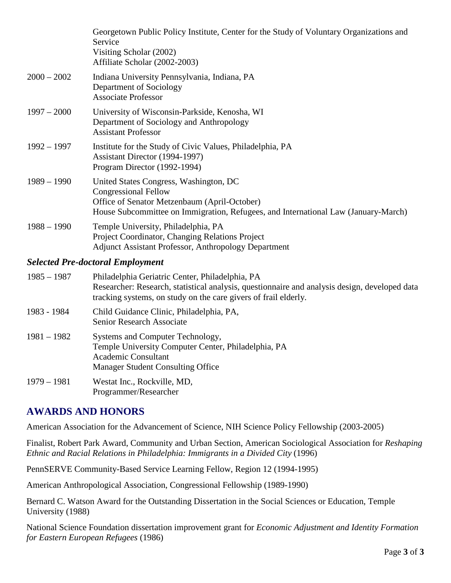|                                         | Georgetown Public Policy Institute, Center for the Study of Voluntary Organizations and<br>Service<br>Visiting Scholar (2002)<br>Affiliate Scholar (2002-2003)                                              |  |
|-----------------------------------------|-------------------------------------------------------------------------------------------------------------------------------------------------------------------------------------------------------------|--|
| $2000 - 2002$                           | Indiana University Pennsylvania, Indiana, PA<br>Department of Sociology<br><b>Associate Professor</b>                                                                                                       |  |
| $1997 - 2000$                           | University of Wisconsin-Parkside, Kenosha, WI<br>Department of Sociology and Anthropology<br><b>Assistant Professor</b>                                                                                     |  |
| $1992 - 1997$                           | Institute for the Study of Civic Values, Philadelphia, PA<br>Assistant Director (1994-1997)<br>Program Director (1992-1994)                                                                                 |  |
| $1989 - 1990$                           | United States Congress, Washington, DC<br><b>Congressional Fellow</b><br>Office of Senator Metzenbaum (April-October)<br>House Subcommittee on Immigration, Refugees, and International Law (January-March) |  |
| $1988 - 1990$                           | Temple University, Philadelphia, PA<br>Project Coordinator, Changing Relations Project<br><b>Adjunct Assistant Professor, Anthropology Department</b>                                                       |  |
| <b>Selected Pre-doctoral Employment</b> |                                                                                                                                                                                                             |  |

# 1985 – 1987 Philadelphia Geriatric Center, Philadelphia, PA Researcher: Research, statistical analysis, questionnaire and analysis design, developed data tracking systems, on study on the care givers of frail elderly. 1983 - 1984 Child Guidance Clinic, Philadelphia, PA, Senior Research Associate

| $1981 - 1982$                  | Systems and Computer Technology,                    |
|--------------------------------|-----------------------------------------------------|
|                                | Temple University Computer Center, Philadelphia, PA |
|                                | Academic Consultant                                 |
|                                | Manager Student Consulting Office                   |
| $\lambda$ $\sim$ $\sim$ $\sim$ | TTT T T                                             |

1979 – 1981 Westat Inc., Rockville, MD, Programmer/Researcher

# **AWARDS AND HONORS**

American Association for the Advancement of Science, NIH Science Policy Fellowship (2003-2005)

Finalist, Robert Park Award, Community and Urban Section, American Sociological Association for *Reshaping Ethnic and Racial Relations in Philadelphia: Immigrants in a Divided City* (1996)

PennSERVE Community-Based Service Learning Fellow, Region 12 (1994-1995)

American Anthropological Association, Congressional Fellowship (1989-1990)

Bernard C. Watson Award for the Outstanding Dissertation in the Social Sciences or Education, Temple University (1988)

National Science Foundation dissertation improvement grant for *Economic Adjustment and Identity Formation for Eastern European Refugees* (1986)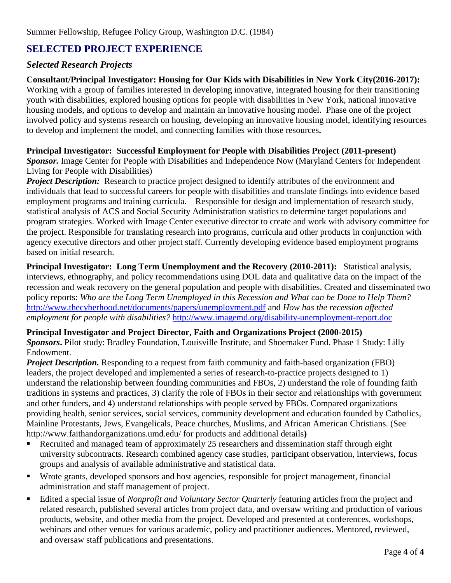# **SELECTED PROJECT EXPERIENCE**

# *Selected Research Projects*

#### **Consultant/Principal Investigator: Housing for Our Kids with Disabilities in New York City(2016-2017):**

Working with a group of families interested in developing innovative, integrated housing for their transitioning youth with disabilities, explored housing options for people with disabilities in New York, national innovative housing models, and options to develop and maintain an innovative housing model. Phase one of the project involved policy and systems research on housing, developing an innovative housing model, identifying resources to develop and implement the model, and connecting families with those resources**.**

#### **Principal Investigator: Successful Employment for People with Disabilities Project (2011-present)**

*Sponsor.* Image Center for People with Disabilities and Independence Now (Maryland Centers for Independent Living for People with Disabilities)

**Project Description:** Research to practice project designed to identify attributes of the environment and individuals that lead to successful careers for people with disabilities and translate findings into evidence based employment programs and training curricula. Responsible for design and implementation of research study, statistical analysis of ACS and Social Security Administration statistics to determine target populations and program strategies. Worked with Image Center executive director to create and work with advisory committee for the project. Responsible for translating research into programs, curricula and other products in conjunction with agency executive directors and other project staff. Currently developing evidence based employment programs based on initial research.

**Principal Investigator: Long Term Unemployment and the Recovery (2010-2011):** Statistical analysis, interviews, ethnography, and policy recommendations using DOL data and qualitative data on the impact of the recession and weak recovery on the general population and people with disabilities. Created and disseminated two policy reports: *Who are the Long Term Unemployed in this Recession and What can be Done to Help Them?* <http://www.thecyberhood.net/documents/papers/unemployment.pdf> and *How has the recession affected employment for people with disabilities?* <http://www.imagemd.org/disability-unemployment-report.doc>

#### **Principal Investigator and Project Director, Faith and Organizations Project (2000-2015)**

*Sponsors***.** Pilot study: Bradley Foundation, Louisville Institute, and Shoemaker Fund. Phase 1 Study: Lilly Endowment.

*Project Description.* Responding to a request from faith community and faith-based organization (FBO) leaders, the project developed and implemented a series of research-to-practice projects designed to 1) understand the relationship between founding communities and FBOs, 2) understand the role of founding faith traditions in systems and practices, 3) clarify the role of FBOs in their sector and relationships with government and other funders, and 4) understand relationships with people served by FBOs. Compared organizations providing health, senior services, social services, community development and education founded by Catholics, Mainline Protestants, Jews, Evangelicals, Peace churches, Muslims, and African American Christians. (See <http://www.faithandorganizations.umd.edu/> for products and additional details**)**

- Recruited and managed team of approximately 25 researchers and dissemination staff through eight university subcontracts. Research combined agency case studies, participant observation, interviews, focus groups and analysis of available administrative and statistical data.
- Wrote grants, developed sponsors and host agencies, responsible for project management, financial administration and staff management of project.
- Edited a special issue of *Nonprofit and Voluntary Sector Quarterly* featuring articles from the project and related research, published several articles from project data, and oversaw writing and production of various products, website, and other media from the project*.* Developed and presented at conferences, workshops, webinars and other venues for various academic, policy and practitioner audiences. Mentored, reviewed, and oversaw staff publications and presentations.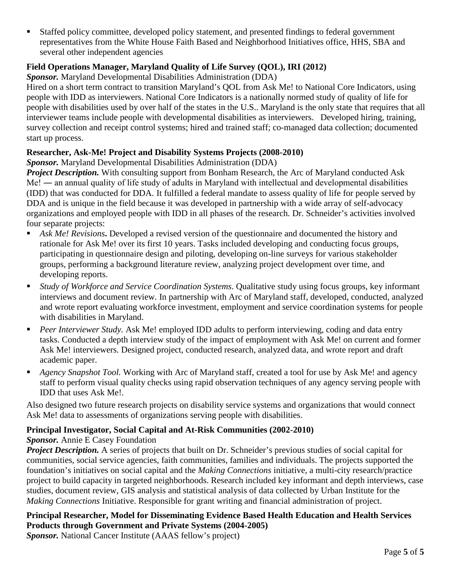Staffed policy committee, developed policy statement, and presented findings to federal government representatives from the White House Faith Based and Neighborhood Initiatives office, HHS, SBA and several other independent agencies

# **Field Operations Manager, Maryland Quality of Life Survey (QOL), IRI (2012)**

*Sponsor.* Maryland Developmental Disabilities Administration (DDA)

Hired on a short term contract to transition Maryland's QOL from Ask Me! to National Core Indicators, using people with IDD as interviewers. National Core Indicators is a nationally normed study of quality of life for people with disabilities used by over half of the states in the U.S.. Maryland is the only state that requires that all interviewer teams include people with developmental disabilities as interviewers. Developed hiring, training, survey collection and receipt control systems; hired and trained staff; co-managed data collection; documented start up process.

#### **Researcher, Ask-Me! Project and Disability Systems Projects (2008-2010)**

*Sponsor.* Maryland Developmental Disabilities Administration (DDA)

*Project Description.* With consulting support from Bonham Research, the [Arc of Maryland](http://www.thearcmd.org/) conducted Ask Me! ― an annual quality of life study of adults in Maryland with intellectual and developmental disabilities (IDD) that was conducted for DDA. It fulfilled a federal mandate to assess quality of life for people served by DDA and is unique in the field because it was developed in partnership with a wide array of self-advocacy organizations and employed people with IDD in all phases of the research. Dr. Schneider's activities involved four separate projects:

- Ask Me! Revisions. Developed a revised version of the questionnaire and documented the history and rationale for Ask Me! over its first 10 years. Tasks included developing and conducting focus groups, participating in questionnaire design and piloting, developing on-line surveys for various stakeholder groups, performing a background literature review, analyzing project development over time, and developing reports.
- *Study of Workforce and Service Coordination Systems*. Qualitative study using focus groups, key informant interviews and document review. In partnership with Arc of Maryland staff, developed, conducted, analyzed and wrote report evaluating workforce investment, employment and service coordination systems for people with disabilities in Maryland.
- *Peer Interviewer Study.* Ask Me! employed IDD adults to perform interviewing, coding and data entry tasks. Conducted a depth interview study of the impact of employment with Ask Me! on current and former Ask Me! interviewers. Designed project, conducted research, analyzed data, and wrote report and draft academic paper.
- *Agency Snapshot Tool.* Working with Arc of Maryland staff, created a tool for use by Ask Me! and agency staff to perform visual quality checks using rapid observation techniques of any agency serving people with IDD that uses Ask Me!.

Also designed two future research projects on disability service systems and organizations that would connect Ask Me! data to assessments of organizations serving people with disabilities.

# **Principal Investigator, Social Capital and At-Risk Communities (2002-2010)**

#### *Sponsor.* Annie E Casey Foundation

*Project Description.* A series of projects that built on Dr. Schneider's previous studies of social capital for communities, social service agencies, faith communities, families and individuals. The projects supported the foundation's initiatives on social capital and the *Making Connections* initiative, a multi-city research/practice project to build capacity in targeted neighborhoods. Research included key informant and depth interviews, case studies, document review, GIS analysis and statistical analysis of data collected by Urban Institute for the *Making Connections* Initiative. Responsible for grant writing and financial administration of project.

# **Principal Researcher, Model for Disseminating Evidence Based Health Education and Health Services Products through Government and Private Systems (2004-2005)**

*Sponsor.* National Cancer Institute (AAAS fellow's project)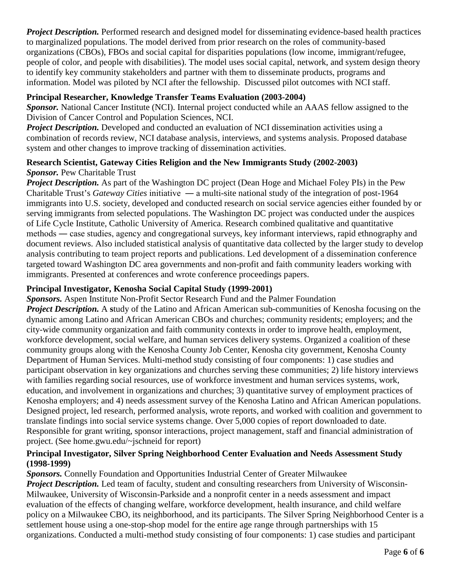*Project Description.* Performed research and designed model for disseminating evidence-based health practices to marginalized populations. The model derived from prior research on the roles of community-based organizations (CBOs), FBOs and social capital for disparities populations (low income, immigrant/refugee, people of color, and people with disabilities). The model uses social capital, network, and system design theory to identify key community stakeholders and partner with them to disseminate products, programs and information. Model was piloted by NCI after the fellowship. Discussed pilot outcomes with NCI staff.

#### **Principal Researcher, Knowledge Transfer Teams Evaluation (2003-2004)**

*Sponsor.* National Cancer Institute (NCI). Internal project conducted while an AAAS fellow assigned to the Division of Cancer Control and Population Sciences, NCI.

*Project Description.* Developed and conducted an evaluation of NCI dissemination activities using a combination of records review, NCI database analysis, interviews, and systems analysis. Proposed database system and other changes to improve tracking of dissemination activities.

#### **Research Scientist, Gateway Cities Religion and the New Immigrants Study (2002-2003)** *Sponsor.* Pew Charitable Trust

*Project Description.* As part of the Washington DC project (Dean Hoge and Michael Foley PIs) in the Pew Charitable Trust's *Gateway Cities* initiative ― a multi-site national study of the integration of post-1964 immigrants into U.S. society, developed and conducted research on social service agencies either founded by or serving immigrants from selected populations. The Washington DC project was conducted under the auspices of Life Cycle Institute, Catholic University of America. Research combined qualitative and quantitative methods ― case studies, agency and congregational surveys, key informant interviews, rapid ethnography and document reviews. Also included statistical analysis of quantitative data collected by the larger study to develop analysis contributing to team project reports and publications. Led development of a dissemination conference targeted toward Washington DC area governments and non-profit and faith community leaders working with immigrants. Presented at conferences and wrote conference proceedings papers.

# **Principal Investigator, Kenosha Social Capital Study (1999-2001)**

*Sponsors.* Aspen Institute Non-Profit Sector Research Fund and the Palmer Foundation *Project Description.* A **s**tudy of the Latino and African American sub-communities of Kenosha focusing on the dynamic among Latino and African American CBOs and churches; community residents; employers; and the city-wide community organization and faith community contexts in order to improve health, employment, workforce development, social welfare, and human services delivery systems. Organized a coalition of these

community groups along with the Kenosha County Job Center, Kenosha city government, Kenosha County Department of Human Services. Multi-method study consisting of four components: 1) case studies and participant observation in key organizations and churches serving these communities; 2) life history interviews with families regarding social resources, use of workforce investment and human services systems, work, education, and involvement in organizations and churches; 3) quantitative survey of employment practices of Kenosha employers; and 4) needs assessment survey of the Kenosha Latino and African American populations. Designed project, led research, performed analysis, wrote reports, and worked with coalition and government to translate findings into social service systems change. Over 5,000 copies of report downloaded to date. Responsible for grant writing, sponsor interactions, project management, staff and financial administration of project. (See [home.gwu.edu/~jschneid](http://home.gwu.edu/%7Ejschneid) for report)

#### **Principal Investigator, Silver Spring Neighborhood Center Evaluation and Needs Assessment Study (1998-1999)**

*Sponsors.* Connelly Foundation and Opportunities Industrial Center of Greater Milwaukee *Project Description.* Led team of faculty, student and consulting researchers from University of Wisconsin-Milwaukee, University of Wisconsin-Parkside and a nonprofit center in a needs assessment and impact evaluation of the effects of changing welfare, workforce development, health insurance, and child welfare policy on a Milwaukee CBO, its neighborhood, and its participants. The Silver Spring Neighborhood Center is a settlement house using a one-stop-shop model for the entire age range through partnerships with 15 organizations. Conducted a multi-method study consisting of four components: 1) case studies and participant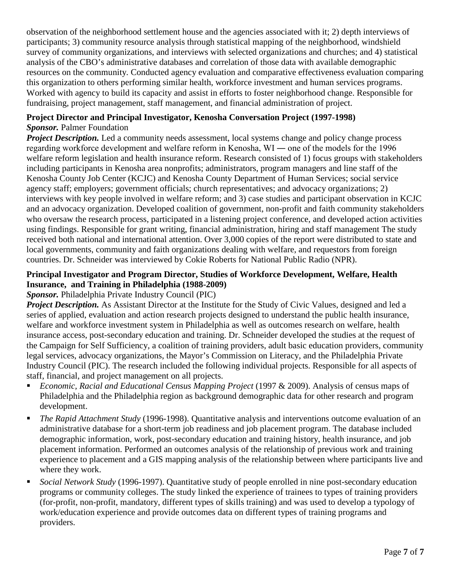observation of the neighborhood settlement house and the agencies associated with it; 2) depth interviews of participants; 3) community resource analysis through statistical mapping of the neighborhood, windshield survey of community organizations, and interviews with selected organizations and churches; and 4) statistical analysis of the CBO's administrative databases and correlation of those data with available demographic resources on the community*.* Conducted agency evaluation and comparative effectiveness evaluation comparing this organization to others performing similar health, workforce investment and human services programs. Worked with agency to build its capacity and assist in efforts to foster neighborhood change. Responsible for fundraising, project management, staff management, and financial administration of project.

#### **Project Director and Principal Investigator, Kenosha Conversation Project (1997-1998)** *Sponsor.* Palmer Foundation

*Project Description.* Led a community needs assessment, local systems change and policy change process regarding workforce development and welfare reform in Kenosha, WI ― one of the models for the 1996 welfare reform legislation and health insurance reform. Research consisted of 1) focus groups with stakeholders including participants in Kenosha area nonprofits; administrators, program managers and line staff of the Kenosha County Job Center (KCJC) and Kenosha County Department of Human Services; social service agency staff; employers; government officials; church representatives; and advocacy organizations; 2) interviews with key people involved in welfare reform; and 3) case studies and participant observation in KCJC and an advocacy organization. Developed coalition of government, non-profit and faith community stakeholders who oversaw the research process, participated in a listening project conference, and developed action activities using findings. Responsible for grant writing, financial administration, hiring and staff management The study received both national and international attention. Over 3,000 copies of the report were distributed to state and local governments, community and faith organizations dealing with welfare, and requestors from foreign countries. Dr. Schneider was interviewed by Cokie Roberts for National Public Radio (NPR).

# **Principal Investigator and Program Director, Studies of Workforce Development, Welfare, Health Insurance, and Training in Philadelphia (1988-2009)**

# *Sponsor.* Philadelphia Private Industry Council (PIC)

*Project Description.* As Assistant Director at the Institute for the Study of Civic Values, designed and led a series of applied, evaluation and action research projects designed to understand the public health insurance, welfare and workforce investment system in Philadelphia as well as outcomes research on welfare, health insurance access, post-secondary education and training. Dr. Schneider developed the studies at the request of the Campaign for Self Sufficiency, a coalition of training providers, adult basic education providers, community legal services, advocacy organizations, the Mayor's Commission on Literacy, and the Philadelphia Private Industry Council (PIC). The research included the following individual projects. Responsible for all aspects of staff, financial, and project management on all projects.

- *Economic, Racial and Educational Census Mapping Project* (1997 & 2009). Analysis of census maps of Philadelphia and the Philadelphia region as background demographic data for other research and program development.
- *The Rapid Attachment Study* (1996-1998). Quantitative analysis and interventions outcome evaluation of an administrative database for a short-term job readiness and job placement program. The database included demographic information, work, post-secondary education and training history, health insurance, and job placement information. Performed an outcomes analysis of the relationship of previous work and training experience to placement and a GIS mapping analysis of the relationship between where participants live and where they work.
- *Social Network Study* (1996-1997). Quantitative study of people enrolled in nine post-secondary education programs or community colleges. The study linked the experience of trainees to types of training providers (for-profit, non-profit, mandatory, different types of skills training) and was used to develop a typology of work/education experience and provide outcomes data on different types of training programs and providers.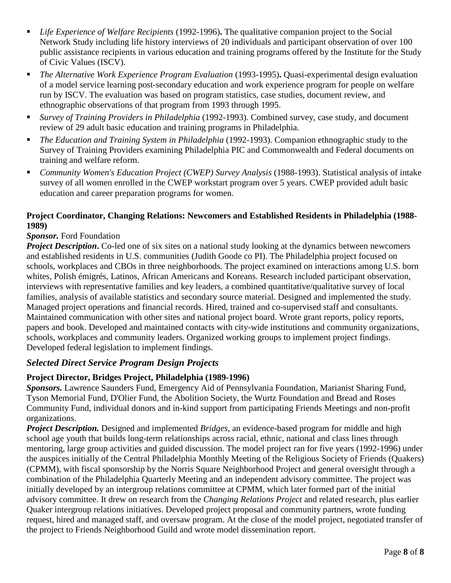- *Life Experience of Welfare Recipients* (1992-1996)**.** The qualitative companion project to the Social Network Study including life history interviews of 20 individuals and participant observation of over 100 public assistance recipients in various education and training programs offered by the Institute for the Study of Civic Values (ISCV)*.*
- *The Alternative Work Experience Program Evaluation* (1993-1995). Quasi-experimental design evaluation of a model service learning post-secondary education and work experience program for people on welfare run by ISCV. The evaluation was based on program statistics, case studies, document review, and ethnographic observations of that program from 1993 through 1995.
- *Survey of Training Providers in Philadelphia* (1992-1993). Combined survey, case study, and document review of 29 adult basic education and training programs in Philadelphia.
- *The Education and Training System in Philadelphia* (1992-1993). Companion ethnographic study to the Survey of Training Providers examining Philadelphia PIC and Commonwealth and Federal documents on training and welfare reform.
- *Community Women's Education Project (CWEP) Survey Analysis* (1988-1993). Statistical analysis of intake survey of all women enrolled in the CWEP workstart program over 5 years. CWEP provided adult basic education and career preparation programs for women.

### **Project Coordinator, Changing Relations: Newcomers and Established Residents in Philadelphia (1988- 1989)**

# *Sponsor.* Ford Foundation

*Project Description*. Co-led one of six sites on a national study looking at the dynamics between newcomers and established residents in U.S. communities (Judith Goode co PI). The Philadelphia project focused on schools, workplaces and CBOs in three neighborhoods. The project examined on interactions among U.S. born whites, Polish émigrés, Latinos, African Americans and Koreans. Research included participant observation, interviews with representative families and key leaders, a combined quantitative/qualitative survey of local families, analysis of available statistics and secondary source material. Designed and implemented the study. Managed project operations and financial records. Hired, trained and co-supervised staff and consultants. Maintained communication with other sites and national project board. Wrote grant reports, policy reports, papers and book. Developed and maintained contacts with city-wide institutions and community organizations, schools, workplaces and community leaders. Organized working groups to implement project findings. Developed federal legislation to implement findings.

#### *Selected Direct Service Program Design Projects*

#### **Project Director, Bridges Project, Philadelphia (1989-1996)**

*Sponsors.* Lawrence Saunders Fund, Emergency Aid of Pennsylvania Foundation, Marianist Sharing Fund, Tyson Memorial Fund, D'Olier Fund, the Abolition Society, the Wurtz Foundation and Bread and Roses Community Fund, individual donors and in-kind support from participating Friends Meetings and non-profit organizations.

*Project Description.* Designed and implemented *Bridges,* an evidence-based program for middle and high school age youth that builds long-term relationships across racial, ethnic, national and class lines through mentoring, large group activities and guided discussion. The model project ran for five years (1992-1996) under the auspices initially of the Central Philadelphia Monthly Meeting of the Religious Society of Friends (Quakers) (CPMM), with fiscal sponsorship by the Norris Square Neighborhood Project and general oversight through a combination of the Philadelphia Quarterly Meeting and an independent advisory committee. The project was initially developed by an intergroup relations committee at CPMM, which later formed part of the initial advisory committee. It drew on research from the *Changing Relations Project* and related research, plus earlier Quaker intergroup relations initiatives. Developed project proposal and community partners, wrote funding request, hired and managed staff, and oversaw program. At the close of the model project, negotiated transfer of the project to Friends Neighborhood Guild and wrote model dissemination report.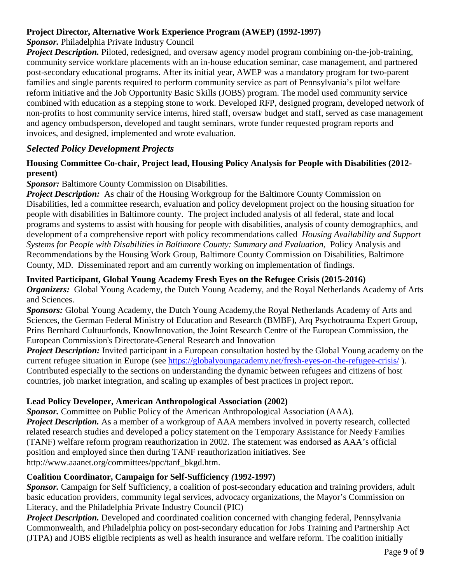# **Project Director, Alternative Work Experience Program (AWEP) (1992-1997)**

*Sponsor.* Philadelphia Private Industry Council

*Project Description.* Piloted, redesigned, and oversaw agency model program combining on-the-job-training, community service workfare placements with an in-house education seminar, case management, and partnered post-secondary educational programs. After its initial year, AWEP was a mandatory program for two-parent families and single parents required to perform community service as part of Pennsylvania's pilot welfare reform initiative and the Job Opportunity Basic Skills (JOBS) program. The model used community service combined with education as a stepping stone to work. Developed RFP, designed program, developed network of non-profits to host community service interns, hired staff, oversaw budget and staff, served as case management and agency ombudsperson, developed and taught seminars, wrote funder requested program reports and invoices, and designed, implemented and wrote evaluation.

# *Selected Policy Development Projects*

#### **Housing Committee Co-chair, Project lead, Housing Policy Analysis for People with Disabilities (2012 present)**

# **Sponsor:** Baltimore County Commission on Disabilities.

*Project Description:* As chair of the Housing Workgroup for the Baltimore County Commission on Disabilities, led a committee research, evaluation and policy development project on the housing situation for people with disabilities in Baltimore county. The project included analysis of all federal, state and local programs and systems to assist with housing for people with disabilities, analysis of county demographics, and development of a comprehensive report with policy recommendations called *Housing Availability and Support Systems for People with Disabilities in Baltimore County: Summary and Evaluation,* Policy Analysis and Recommendations by the Housing Work Group, Baltimore County Commission on Disabilities, Baltimore County, MD. Disseminated report and am currently working on implementation of findings.

# **Invited Participant, Global Young Academy Fresh Eyes on the Refugee Crisis (2015-2016)**

*Organizers:* Global Young Academy, the Dutch Young Academy, and the Royal Netherlands Academy of Arts and Sciences.

*Sponsors:* Global Young Academy, the Dutch Young Academy,the Royal Netherlands Academy of Arts and Sciences, the German Federal Ministry of Education and Research (BMBF), Arq Psychotrauma Expert Group, Prins Bernhard Cultuurfonds, KnowInnovation, the Joint Research Centre of the European Commission, the European Commission's Directorate-General Research and Innovation

*Project Description:* Invited participant in a European consultation hosted by the Global Young academy on the current refugee situation in Europe (see<https://globalyoungacademy.net/fresh-eyes-on-the-refugee-crisis/> ). Contributed especially to the sections on understanding the dynamic between refugees and citizens of host countries, job market integration, and scaling up examples of best practices in project report.

#### **Lead Policy Developer, American Anthropological Association (2002)**

*Sponsor.* Committee on Public Policy of the American Anthropological Association (AAA)*. Project Description.* As a member of a workgroup of AAA members involved in poverty research, collected related research studies and developed a policy statement on the Temporary Assistance for Needy Families (TANF) welfare reform program reauthorization in 2002. The statement was endorsed as AAA's official position and employed since then during TANF reauthorization initiatives. See http://www.aaanet.org/committees/ppc/tanf\_bkgd.htm.

#### **Coalition Coordinator, Campaign for Self-Sufficiency** *(***1992-1997)**

*Sponsor.* Campaign for Self Sufficiency, a coalition of post-secondary education and training providers, adult basic education providers, community legal services, advocacy organizations, the Mayor's Commission on Literacy, and the Philadelphia Private Industry Council (PIC)

*Project Description.* Developed and coordinated coalition concerned with changing federal, Pennsylvania Commonwealth, and Philadelphia policy on post-secondary education for Jobs Training and Partnership Act (JTPA) and JOBS eligible recipients as well as health insurance and welfare reform. The coalition initially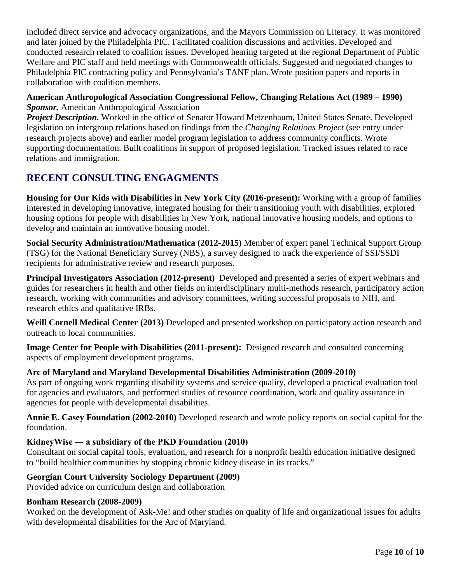included direct service and advocacy organizations, and the Mayors Commission on Literacy. It was monitored and later joined by the Philadelphia PIC. Facilitated coalition discussions and activities. Developed and conducted research related to coalition issues. Developed hearing targeted at the regional Department of Public Welfare and PIC staff and held meetings with Commonwealth officials. Suggested and negotiated changes to Philadelphia PIC contracting policy and Pennsylvania's TANF plan. Wrote position papers and reports in collaboration with coalition members.

#### **American Anthropological Association Congressional Fellow, Changing Relations Act (1989 – 1990)** *Sponsor.* American Anthropological Association

*Project Description.* Worked in the office of Senator Howard Metzenbaum, United States Senate. Developed legislation on intergroup relations based on findings from the *Changing Relations Project* (see entry under research projects above) and earlier model program legislation to address community conflicts. Wrote supporting documentation. Built coalitions in support of proposed legislation. Tracked issues related to race relations and immigration.

# **RECENT CONSULTING ENGAGMENTS**

**Housing for Our Kids with Disabilities in New York City (2016-present):** Working with a group of families interested in developing innovative, integrated housing for their transitioning youth with disabilities, explored housing options for people with disabilities in New York, national innovative housing models, and options to develop and maintain an innovative housing model.

**Social Security Administration/Mathematica (2012-2015)** Member of expert panel Technical Support Group (TSG) for the National Beneficiary Survey (NBS), a survey designed to track the experience of SSI/SSDI recipients for administrative review and research purposes.

**Principal Investigators Association (2012-present)** Developed and presented a series of expert webinars and guides for researchers in health and other fields on interdisciplinary multi-methods research, participatory action research, working with communities and advisory committees, writing successful proposals to NIH, and research ethics and qualitative IRBs.

**Weill Cornell Medical Center (2013)** Developed and presented workshop on participatory action research and outreach to local communities.

**Image Center for People with Disabilities (2011-present):** Designed research and consulted concerning aspects of employment development programs.

#### **Arc of Maryland and Maryland Developmental Disabilities Administration (2009-2010)**

As part of ongoing work regarding disability systems and service quality, developed a practical evaluation tool for agencies and evaluators, and performed studies of resource coordination, work and quality assurance in agencies for people with developmental disabilities.

**Annie E. Casey Foundation (2002-2010)** Developed research and wrote policy reports on social capital for the foundation.

#### **KidneyWise ― a subsidiary of the PKD Foundation (2010)**

Consultant on social capital tools, evaluation, and research for a nonprofit health education initiative designed to "build healthier communities by stopping chronic kidney disease in its tracks."

#### **Georgian Court University Sociology Department (2009)**

Provided advice on curriculum design and collaboration

#### **Bonham Research (2008-2009)**

Worked on the development of Ask-Me! and other studies on quality of life and organizational issues for adults with developmental disabilities for the Arc of Maryland.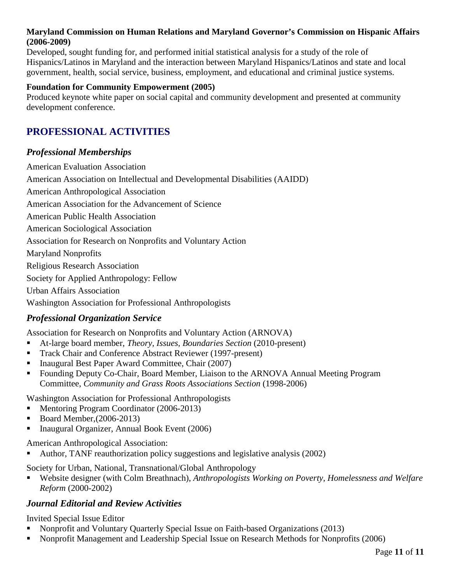#### **Maryland Commission on Human Relations and Maryland Governor's Commission on Hispanic Affairs (2006-2009)**

Developed, sought funding for, and performed initial statistical analysis for a study of the role of Hispanics/Latinos in Maryland and the interaction between Maryland Hispanics/Latinos and state and local government, health, social service, business, employment, and educational and criminal justice systems.

#### **Foundation for Community Empowerment (2005)**

Produced keynote white paper on social capital and community development and presented at community development conference.

# **PROFESSIONAL ACTIVITIES**

# *Professional Memberships*

American Evaluation Association American Association on Intellectual and Developmental Disabilities (AAIDD) American Anthropological Association American Association for the Advancement of Science American Public Health Association American Sociological Association Association for Research on Nonprofits and Voluntary Action Maryland Nonprofits Religious Research Association Society for Applied Anthropology: Fellow Urban Affairs Association Washington Association for Professional Anthropologists

# *Professional Organization Service*

Association for Research on Nonprofits and Voluntary Action (ARNOVA)

- At-large board member, *Theory, Issues, Boundaries Section* (2010-present)
- Track Chair and Conference Abstract Reviewer (1997-present)
- Inaugural Best Paper Award Committee, Chair (2007)
- Founding Deputy Co-Chair, Board Member, Liaison to the ARNOVA Annual Meeting Program Committee, *Community and Grass Roots Associations Section* (1998-2006)

Washington Association for Professional Anthropologists

- Mentoring Program Coordinator (2006-2013)
- Board Member,(2006-2013)
- Inaugural Organizer, Annual Book Event (2006)

American Anthropological Association:

Author, TANF reauthorization policy suggestions and legislative analysis (2002)

Society for Urban, National, Transnational/Global Anthropology

■ Website designer (with Colm Breathnach), *Anthropologists Working on Poverty, Homelessness and Welfare Reform* (2000-2002)

# *Journal Editorial and Review Activities*

Invited Special Issue Editor

- Nonprofit and Voluntary Quarterly Special Issue on Faith-based Organizations (2013)
- Nonprofit Management and Leadership Special Issue on Research Methods for Nonprofits (2006)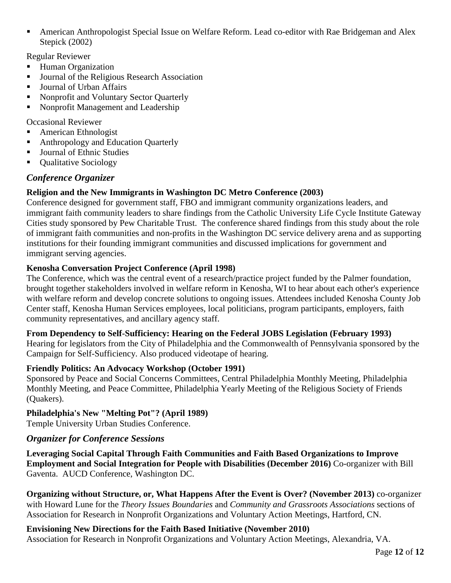American Anthropologist Special Issue on Welfare Reform. Lead co-editor with Rae Bridgeman and Alex Stepick (2002)

Regular Reviewer

- Human Organization
- **Journal of the Religious Research Association**
- **Journal of Urban Affairs**
- Konprofit and Voluntary Sector Quarterly
- Nonprofit Management and Leadership

Occasional Reviewer

- American Ethnologist
- Anthropology and Education Quarterly
- Journal of Ethnic Studies
- Qualitative Sociology

# *Conference Organizer*

# **Religion and the New Immigrants in Washington DC Metro Conference (2003)**

Conference designed for government staff, FBO and immigrant community organizations leaders, and immigrant faith community leaders to share findings from the Catholic University Life Cycle Institute Gateway Cities study sponsored by Pew Charitable Trust. The conference shared findings from this study about the role of immigrant faith communities and non-profits in the Washington DC service delivery arena and as supporting institutions for their founding immigrant communities and discussed implications for government and immigrant serving agencies.

# **Kenosha Conversation Project Conference (April 1998)**

The Conference, which was the central event of a research/practice project funded by the Palmer foundation, brought together stakeholders involved in welfare reform in Kenosha, WI to hear about each other's experience with welfare reform and develop concrete solutions to ongoing issues. Attendees included Kenosha County Job Center staff, Kenosha Human Services employees, local politicians, program participants, employers, faith community representatives, and ancillary agency staff.

#### **From Dependency to Self-Sufficiency: Hearing on the Federal JOBS Legislation (February 1993)**

Hearing for legislators from the City of Philadelphia and the Commonwealth of Pennsylvania sponsored by the Campaign for Self-Sufficiency. Also produced videotape of hearing.

#### **Friendly Politics: An Advocacy Workshop (October 1991)**

Sponsored by Peace and Social Concerns Committees, Central Philadelphia Monthly Meeting, Philadelphia Monthly Meeting, and Peace Committee, Philadelphia Yearly Meeting of the Religious Society of Friends (Quakers).

# **Philadelphia's New "Melting Pot"? (April 1989)**

Temple University Urban Studies Conference.

# *Organizer for Conference Sessions*

**Leveraging Social Capital Through Faith Communities and Faith Based Organizations to Improve Employment and Social Integration for People with Disabilities (December 2016)** Co-organizer with Bill Gaventa. AUCD Conference, Washington DC.

**Organizing without Structure, or, What Happens After the Event is Over? (November 2013)** co-organizer with Howard Lune for the *Theory Issues Boundaries* and *Community and Grassroots Associations* sections of Association for Research in Nonprofit Organizations and Voluntary Action Meetings, Hartford, CN.

# **Envisioning New Directions for the Faith Based Initiative (November 2010)**

Association for Research in Nonprofit Organizations and Voluntary Action Meetings, Alexandria, VA.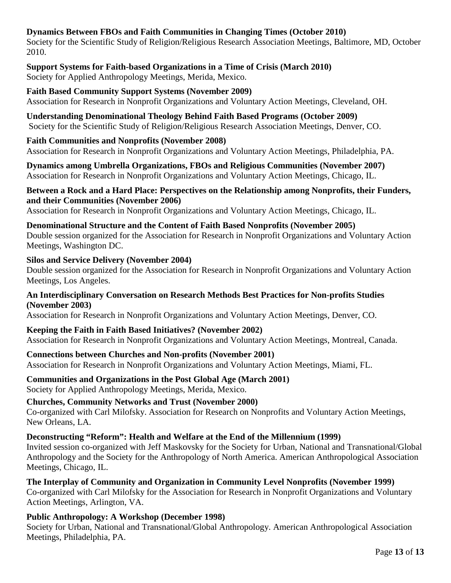# **Dynamics Between FBOs and Faith Communities in Changing Times (October 2010)**

Society for the Scientific Study of Religion/Religious Research Association Meetings, Baltimore, MD, October 2010.

**Support Systems for Faith-based Organizations in a Time of Crisis (March 2010)** Society for Applied Anthropology Meetings, Merida, Mexico.

**Faith Based Community Support Systems (November 2009)** Association for Research in Nonprofit Organizations and Voluntary Action Meetings, Cleveland, OH.

**Understanding Denominational Theology Behind Faith Based Programs (October 2009)** Society for the Scientific Study of Religion/Religious Research Association Meetings, Denver, CO.

#### **Faith Communities and Nonprofits (November 2008)**

Association for Research in Nonprofit Organizations and Voluntary Action Meetings, Philadelphia, PA.

**Dynamics among Umbrella Organizations, FBOs and Religious Communities (November 2007)** Association for Research in Nonprofit Organizations and Voluntary Action Meetings, Chicago, IL.

#### **Between a Rock and a Hard Place: Perspectives on the Relationship among Nonprofits, their Funders, and their Communities (November 2006)**

Association for Research in Nonprofit Organizations and Voluntary Action Meetings, Chicago, IL.

**Denominational Structure and the Content of Faith Based Nonprofits (November 2005)** Double session organized for the Association for Research in Nonprofit Organizations and Voluntary Action Meetings, Washington DC.

#### **Silos and Service Delivery (November 2004)**

Double session organized for the Association for Research in Nonprofit Organizations and Voluntary Action Meetings, Los Angeles.

#### **An Interdisciplinary Conversation on Research Methods Best Practices for Non-profits Studies (November 2003)**

Association for Research in Nonprofit Organizations and Voluntary Action Meetings*,* Denver, CO.

**Keeping the Faith in Faith Based Initiatives? (November 2002)** Association for Research in Nonprofit Organizations and Voluntary Action Meetings*,* Montreal, Canada.

#### **Connections between Churches and Non-profits (November 2001)**

Association for Research in Nonprofit Organizations and Voluntary Action Meetings*,* Miami, FL.

#### **Communities and Organizations in the Post Global Age (March 2001)**

Society for Applied Anthropology Meetings, Merida, Mexico.

#### **Churches, Community Networks and Trust (November 2000)**

Co-organized with Carl Milofsky. Association for Research on Nonprofits and Voluntary Action Meetings, New Orleans, LA.

**Deconstructing "Reform": Health and Welfare at the End of the Millennium (1999)**

Invited session co-organized with Jeff Maskovsky for the Society for Urban, National and Transnational/Global Anthropology and the Society for the Anthropology of North America. American Anthropological Association Meetings, Chicago, IL.

**The Interplay of Community and Organization in Community Level Nonprofits (November 1999)** Co-organized with Carl Milofsky for the Association for Research in Nonprofit Organizations and Voluntary Action Meetings, Arlington, VA.

#### **Public Anthropology: A Workshop (December 1998)**

Society for Urban, National and Transnational/Global Anthropology. American Anthropological Association Meetings, Philadelphia, PA.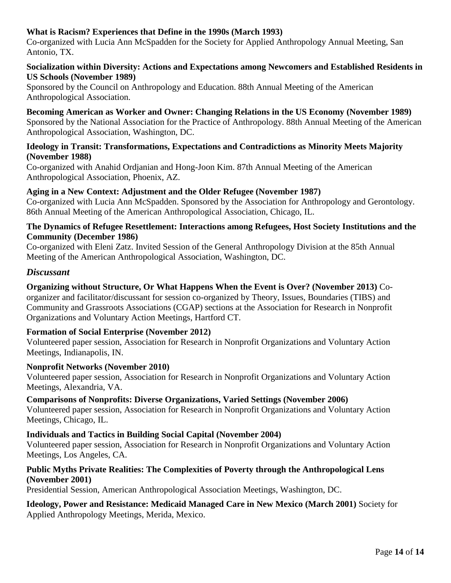# **What is Racism? Experiences that Define in the 1990s (March 1993)**

Co-organized with Lucia Ann McSpadden for the Society for Applied Anthropology Annual Meeting, San Antonio, TX.

#### **Socialization within Diversity: Actions and Expectations among Newcomers and Established Residents in US Schools (November 1989)**

Sponsored by the Council on Anthropology and Education. 88th Annual Meeting of the American Anthropological Association.

#### **Becoming American as Worker and Owner: Changing Relations in the US Economy (November 1989)** Sponsored by the National Association for the Practice of Anthropology. 88th Annual Meeting of the American Anthropological Association, Washington, DC.

#### **Ideology in Transit: Transformations, Expectations and Contradictions as Minority Meets Majority (November 1988)**

Co-organized with Anahid Ordjanian and Hong-Joon Kim. 87th Annual Meeting of the American Anthropological Association, Phoenix, AZ.

# **Aging in a New Context: Adjustment and the Older Refugee (November 1987)**

Co-organized with Lucia Ann McSpadden. Sponsored by the Association for Anthropology and Gerontology. 86th Annual Meeting of the American Anthropological Association, Chicago, IL.

#### **The Dynamics of Refugee Resettlement: Interactions among Refugees, Host Society Institutions and the Community (December 1986)**

Co-organized with Eleni Zatz. Invited Session of the General Anthropology Division at the 85th Annual Meeting of the American Anthropological Association, Washington, DC.

# *Discussant*

# **Organizing without Structure, Or What Happens When the Event is Over? (November 2013)** Co-

organizer and facilitator/discussant for session co-organized by Theory, Issues, Boundaries (TIBS) and Community and Grassroots Associations (CGAP) sections at the Association for Research in Nonprofit Organizations and Voluntary Action Meetings, Hartford CT.

#### **Formation of Social Enterprise (November 2012)**

Volunteered paper session, Association for Research in Nonprofit Organizations and Voluntary Action Meetings, Indianapolis, IN.

#### **Nonprofit Networks (November 2010)**

Volunteered paper session, Association for Research in Nonprofit Organizations and Voluntary Action Meetings, Alexandria, VA.

#### **Comparisons of Nonprofits: Diverse Organizations, Varied Settings (November 2006)**

Volunteered paper session, Association for Research in Nonprofit Organizations and Voluntary Action Meetings, Chicago, IL.

#### **Individuals and Tactics in Building Social Capital (November 2004)**

Volunteered paper session, Association for Research in Nonprofit Organizations and Voluntary Action Meetings, Los Angeles, CA.

#### **Public Myths Private Realities: The Complexities of Poverty through the Anthropological Lens (November 2001)**

Presidential Session, American Anthropological Association Meetings, Washington, DC.

**Ideology, Power and Resistance: Medicaid Managed Care in New Mexico (March 2001)** Society for Applied Anthropology Meetings, Merida, Mexico.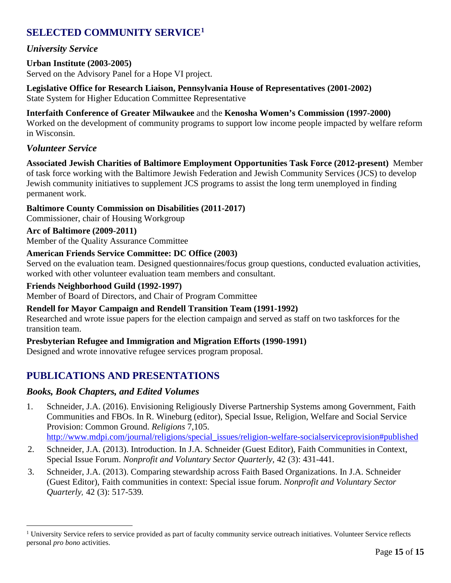# **SELECTED COMMUNITY SERVICE[1](#page-14-0)**

# *University Service*

# **Urban Institute (2003-2005)**

Served on the Advisory Panel for a Hope VI project.

**Legislative Office for Research Liaison, Pennsylvania House of Representatives (2001-2002)**

State System for Higher Education Committee Representative

#### **Interfaith Conference of Greater Milwaukee** and the **Kenosha Women's Commission (1997-2000)**

Worked on the development of community programs to support low income people impacted by welfare reform in Wisconsin.

# *Volunteer Service*

**Associated Jewish Charities of Baltimore Employment Opportunities Task Force (2012-present)** Member of task force working with the Baltimore Jewish Federation and Jewish Community Services (JCS) to develop Jewish community initiatives to supplement JCS programs to assist the long term unemployed in finding permanent work.

#### **Baltimore County Commission on Disabilities (2011-2017)**

Commissioner, chair of Housing Workgroup

#### **Arc of Baltimore (2009-2011)**

Member of the Quality Assurance Committee

#### **American Friends Service Committee: DC Office (2003)**

Served on the evaluation team. Designed questionnaires/focus group questions, conducted evaluation activities, worked with other volunteer evaluation team members and consultant.

#### **Friends Neighborhood Guild (1992-1997)**

Member of Board of Directors, and Chair of Program Committee

#### **Rendell for Mayor Campaign and Rendell Transition Team (1991-1992)**

Researched and wrote issue papers for the election campaign and served as staff on two taskforces for the transition team.

#### **Presbyterian Refugee and Immigration and Migration Efforts (1990-1991)**

Designed and wrote innovative refugee services program proposal.

# **PUBLICATIONS AND PRESENTATIONS**

#### *Books, Book Chapters, and Edited Volumes*

- 1. Schneider, J.A. (2016). Envisioning Religiously Diverse Partnership Systems among Government, Faith Communities and FBOs. In R. Wineburg (editor), Special Issue, Religion, Welfare and Social Service Provision: Common Ground. *Religions* 7,105. [http://www.mdpi.com/journal/religions/special\\_issues/religion-welfare-socialserviceprovision#published](http://www.mdpi.com/journal/religions/special_issues/religion-welfare-socialserviceprovision%23published)
- 2. Schneider, J.A. (2013). Introduction. In J.A. Schneider (Guest Editor), Faith Communities in Context, Special Issue Forum. *Nonprofit and Voluntary Sector Quarterly,* 42 (3): 431-441*.*
- 3. Schneider, J.A. (2013). Comparing stewardship across Faith Based Organizations. In J.A. Schneider (Guest Editor), Faith communities in context: Special issue forum. *Nonprofit and Voluntary Sector Quarterly,* 42 (3): 517-539*.*

<span id="page-14-0"></span><sup>&</sup>lt;sup>1</sup> University Service refers to service provided as part of faculty community service outreach initiatives. Volunteer Service reflects personal *pro bono* activities.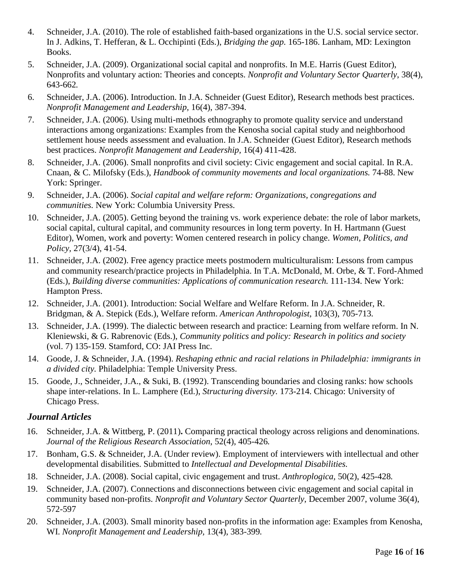- 4. Schneider, J.A. (2010). The role of established faith-based organizations in the U.S. social service sector. In J. Adkins, T. Hefferan, & L. Occhipinti (Eds.), *Bridging the gap.* 165-186. Lanham, MD: Lexington Books.
- 5. Schneider, J.A. (2009). Organizational social capital and nonprofits. In M.E. Harris (Guest Editor), Nonprofits and voluntary action: Theories and concepts. *Nonprofit and Voluntary Sector Quarterly*, 38(4), 643-662*.*
- 6. Schneider, J.A. (2006). Introduction. In J.A. Schneider (Guest Editor), Research methods best practices. *Nonprofit Management and Leadership,* 16(4), 387-394.
- 7. Schneider, J.A. (2006). Using multi-methods ethnography to promote quality service and understand interactions among organizations: Examples from the Kenosha social capital study and neighborhood settlement house needs assessment and evaluation. In J.A. Schneider (Guest Editor), Research methods best practices. *Nonprofit Management and Leadership,* 16(4) 411-428.
- 8. Schneider, J.A. (2006). Small nonprofits and civil society: Civic engagement and social capital. In R.A. Cnaan, & C. Milofsky (Eds.), *Handbook of community movements and local organizations.* 74-88. New York: Springer.
- 9. Schneider, J.A. (2006). *Social capital and welfare reform: Organizations, congregations and communities.* New York: Columbia University Press.
- 10. Schneider, J.A. (2005). Getting beyond the training vs. work experience debate: the role of labor markets, social capital, cultural capital, and community resources in long term poverty. In H. Hartmann (Guest Editor), Women, work and poverty: Women centered research in policy change. *Women, Politics, and Policy,* 27(3/4), 41-54.
- 11. Schneider, J.A. (2002). Free agency practice meets postmodern multiculturalism: Lessons from campus and community research/practice projects in Philadelphia. In T.A. McDonald, M. Orbe, & T. Ford-Ahmed (Eds.), *Building diverse communities: Applications of communication research.* 111-134. New York: Hampton Press.
- 12. Schneider, J.A. (2001). Introduction: Social Welfare and Welfare Reform. In J.A. Schneider, R. Bridgman, & A. Stepick (Eds.), Welfare reform. *American Anthropologist*, 103(3), 705-713*.*
- 13. Schneider, J.A. (1999). The dialectic between research and practice: Learning from welfare reform. In N. Kleniewski, & G. Rabrenovic (Eds.), *Community politics and policy: Research in politics and society* (vol. 7) 135-159. Stamford, CO: JAI Press Inc.
- 14. Goode, J. & Schneider, J.A. (1994). *Reshaping ethnic and racial relations in Philadelphia: immigrants in a divided city.* Philadelphia: Temple University Press.
- 15. Goode, J., Schneider, J.A., & Suki, B. (1992). Transcending boundaries and closing ranks: how schools shape inter-relations. In L. Lamphere (Ed.), *Structuring diversity.* 173-214. Chicago: University of Chicago Press.

# *Journal Articles*

- 16. Schneider, J.A. & Wittberg, P. (2011)**.** Comparing practical theology across religions and denominations. *Journal of the Religious Research Association*, 52(4), 405-426*.*
- 17. Bonham, G.S. & Schneider, J.A. (Under review). Employment of interviewers with intellectual and other developmental disabilities. Submitted to *Intellectual and Developmental Disabilities.*
- 18. Schneider, J.A. (2008). Social capital, civic engagement and trust. *Anthroplogica,* 50(2), 425-428*.*
- 19. Schneider, J.A. (2007). Connections and disconnections between civic engagement and social capital in community based non-profits. *Nonprofit and Voluntary Sector Quarterly*, December 2007, volume 36(4), 572-597
- 20. Schneider, J.A. (2003). Small minority based non-profits in the information age: Examples from Kenosha, WI. *Nonprofit Management and Leadership,* 13(4), 383-399*.*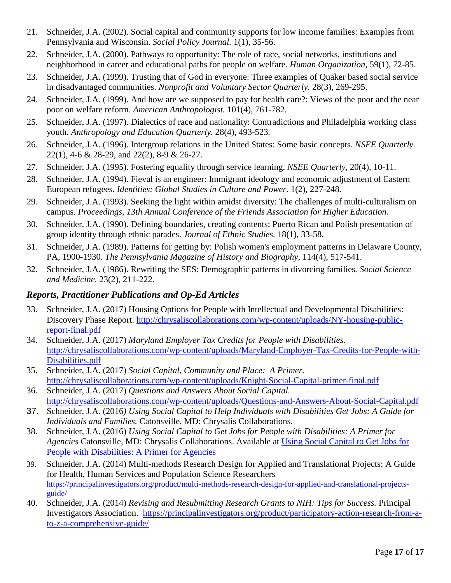- 21. Schneider, J.A. (2002). Social capital and community supports for low income families: Examples from Pennsylvania and Wisconsin. *Social Policy Journal.* 1(1), 35-56.
- 22. Schneider, J.A. (2000). Pathways to opportunity: The role of race, social networks, institutions and neighborhood in career and educational paths for people on welfare. *Human Organization,* 59(1), 72-85.
- 23. Schneider, J.A. (1999). Trusting that of God in everyone: Three examples of Quaker based social service in disadvantaged communities. *Nonprofit and Voluntary Sector Quarterly.* 28(3), 269-295.
- 24. Schneider, J.A. (1999). And how are we supposed to pay for health care?: Views of the poor and the near poor on welfare reform. *American Anthropologist.* 101(4), 761-782*.*
- 25. Schneider, J.A. (1997). Dialectics of race and nationality: Contradictions and Philadelphia working class youth. *Anthropology and Education Quarterly.* 28(4), 493-523*.*
- 26. Schneider, J.A. (1996). Intergroup relations in the United States: Some basic concepts. *NSEE Quarterly.*  22(1), 4-6 & 28-29, and 22(2), 8-9 & 26-27.
- 27. Schneider, J.A. (1995). Fostering equality through service learning. *NSEE Quarterly*, 20(4), 10-11.
- 28. Schneider, J.A. (1994). Fieval is an engineer: Immigrant ideology and economic adjustment of Eastern European refugees*. Identities: Global Studies in Culture and Power.* 1(2), 227-248.
- 29. Schneider, J.A. (1993). Seeking the light within amidst diversity: The challenges of multi-culturalism on campus. *Proceedings, 13th Annual Conference of the Friends Association for Higher Education.*
- 30. Schneider, J.A. (1990). Defining boundaries, creating contents: Puerto Rican and Polish presentation of group identity through ethnic parades. *Journal of Ethnic Studies.* 18(1), 33-58.
- 31. Schneider, J.A. (1989). Patterns for getting by: Polish women's employment patterns in Delaware County, PA, 1900-1930. *The Pennsylvania Magazine of History and Biography*, 114(4), 517-541.
- 32. Schneider, J.A. (1986). Rewriting the SES: Demographic patterns in divorcing families*. Social Science and Medicine.* 23(2), 211-222.

# *Reports, Practitioner Publications and Op-Ed Articles*

- 33. Schneider, J.A. (2017) Housing Options for People with Intellectual and Developmental Disabilities: Discovery Phase Report. [http://chrysaliscollaborations.com/wp-content/uploads/NY-housing-public](http://chrysaliscollaborations.com/wp-content/uploads/NY-housing-public-report-final.pdf)[report-final.pdf](http://chrysaliscollaborations.com/wp-content/uploads/NY-housing-public-report-final.pdf)
- 34. Schneider, J.A. (2017) *Maryland Employer Tax Credits for People with Disabilities.* [http://chrysaliscollaborations.com/wp-content/uploads/Maryland-Employer-Tax-Credits-for-People-with-](http://chrysaliscollaborations.com/wp-content/uploads/Maryland-Employer-Tax-Credits-for-People-with-Disabilities.pdf)[Disabilities.pdf](http://chrysaliscollaborations.com/wp-content/uploads/Maryland-Employer-Tax-Credits-for-People-with-Disabilities.pdf)
- 35. Schneider, J.A. (2017) *Social Capital, Community and Place: A Primer.* <http://chrysaliscollaborations.com/wp-content/uploads/Knight-Social-Capital-primer-final.pdf>
- 36. Schneider, J.A. (2017) *Questions and Answers About Social Capital.*  <http://chrysaliscollaborations.com/wp-content/uploads/Questions-and-Answers-About-Social-Capital.pdf>
- 37. Schneider, J.A. (2016*) Using Social Capital to Help Individuals with Disabilities Get Jobs: A Guide for Individuals and Families.* Catonsville, MD: Chrysalis Collaborations*.*
- 38. Schneider, J.A. (2016) *Using Social Capital to Get Jobs for People with Disabilities: A Primer for Agencies* Catonsville, MD: Chrysalis Collaborations. Available at [Using Social Capital to Get Jobs for](https://www.amazon.com/dp/1537045954)  [People with Disabilities: A Primer for Agencies](https://www.amazon.com/dp/1537045954)
- 39. Schneider, J.A. (2014) Multi-methods Research Design for Applied and Translational Projects: A Guide for Health, Human Services and Population Science Researchers [https://principalinvestigators.org/product/multi-methods-research-design-for-applied-and-translational-projects](https://principalinvestigators.org/product/multi-methods-research-design-for-applied-and-translational-projects-guide/)[guide/](https://principalinvestigators.org/product/multi-methods-research-design-for-applied-and-translational-projects-guide/)
- 40. Schneider, J.A. (2014) *Revising and Resubmitting Research Grants to NIH: Tips for Success.* Principal Investigators Association. [https://principalinvestigators.org/product/participatory-action-research-from-a](https://principalinvestigators.org/product/participatory-action-research-from-a-to-z-a-comprehensive-guide/)[to-z-a-comprehensive-guide/](https://principalinvestigators.org/product/participatory-action-research-from-a-to-z-a-comprehensive-guide/)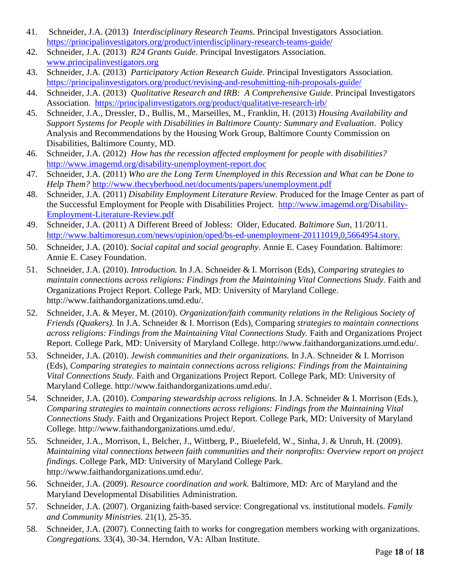- 41. Schneider, J.A. (2013) *Interdisciplinary Research Teams*. Principal Investigators Association. <https://principalinvestigators.org/product/interdisciplinary-research-teams-guide/>
- 42. Schneider, J.A. (2013) *R24 Grants Guide*. Principal Investigators Association. [www.principalinvestigators.org](http://www.principalinvestigators.org/)
- 43. Schneider, J.A. (2013) *Participatory Action Research Guide*. Principal Investigators Association. <https://principalinvestigators.org/product/revising-and-resubmitting-nih-proposals-guide/>
- 44. Schneider, J.A. (2013) *Qualitative Research and IRB: A Comprehensive Guide*. Principal Investigators Association. <https://principalinvestigators.org/product/qualitative-research-irb/>
- 45. Schneider, J.A., Dressler, D., Bullis, M., Marseilles, M., Franklin, H. (2013) *Housing Availability and Support Systems for People with Disabilities in Baltimore County: Summary and Evaluation*. Policy Analysis and Recommendations by the Housing Work Group, Baltimore County Commission on Disabilities, Baltimore County, MD.
- 46. Schneider, J.A. (2012) *How has the recession affected employment for people with disabilities?* <http://www.imagemd.org/disability-unemployment-report.doc>
- 47. Schneider, J.A. (2011) *Who are the Long Term Unemployed in this Recession and What can be Done to Help Them?* <http://www.thecyberhood.net/documents/papers/unemployment.pdf>
- 48. Schneider, J.A. (2011) *Disability Employment Literature Review.* Produced for the Image Center as part of the Successful Employment for People with Disabilities Project. [http://www.imagemd.org/Disability-](http://www.imagemd.org/Disability-Employment-Literature-Review.pdf)[Employment-Literature-Review.pdf](http://www.imagemd.org/Disability-Employment-Literature-Review.pdf)
- 49. Schneider, J.A. (2011) A Different Breed of Jobless: Older, Educated. *Baltimore Sun,* 11/20/11. <http://www.baltimoresun.com/news/opinion/oped/bs-ed-unemployment-20111019,0,5664954.story.>
- 50. Schneider, J.A. (2010). *Social capital and social geography*. Annie E. Casey Foundation. Baltimore: Annie E. Casey Foundation.
- 51. Schneider, J.A. (2010). *Introduction.* In J.A. Schneider & I. Morrison (Eds), *Comparing strategies to maintain connections across religions: Findings from the Maintaining Vital Connections Study.* Faith and Organizations Project Report*.* College Park, MD: University of Maryland College. [http://www.faithandorganizations.umd.edu/.](http://www.faithandorganizations.umd.edu/)
- 52. Schneider, J.A. & Meyer, M. (2010). *Organization/faith community relations in the Religious Society of Friends (Quakers).* In J.A. Schneider & I. Morrison (Eds), Comparing *strategies to maintain connections across religions: Findings from the Maintaining Vital Connections Study.* Faith and Organizations Project Report*.* College Park, MD: University of Maryland College. [http://www.faithandorganizations.umd.edu/.](http://www.faithandorganizations.umd.edu/)
- 53. Schneider, J.A. (2010). *Jewish communities and their organizations.* In J.A. Schneider & I. Morrison (Eds), *Comparing strategies to maintain connections across religions: Findings from the Maintaining Vital Connections Study.* Faith and Organizations Project Report*.* College Park, MD: University of Maryland College. [http://www.faithandorganizations.umd.edu/.](http://www.faithandorganizations.umd.edu/)
- 54. Schneider, J.A. (2010). *Comparing stewardship across religions.* In J.A. Schneider & I. Morrison (Eds.), *Comparing strategies to maintain connections across religions: Findings from the Maintaining Vital Connections Study.* Faith and Organizations Project Report*.* College Park, MD: University of Maryland College. [http://www.faithandorganizations.umd.edu/.](http://www.faithandorganizations.umd.edu/)
- 55. Schneider, J.A., Morrison, I., Belcher, J., Wittberg, P., Biuelefeld, W., Sinha, J. & Unruh, H. (2009). *Maintaining vital connections between faith communities and their nonprofits: Overview report on project findings*. College Park, MD: University of Maryland College Park. [http://www.faithandorganizations.umd.edu/.](http://www.faithandorganizations.umd.edu/)
- 56. Schneider, J.A. (2009). *Resource coordination and work.* Baltimore, MD: Arc of Maryland and the Maryland Developmental Disabilities Administration.
- 57. Schneider, J.A. (2007). Organizing faith-based service: Congregational vs. institutional models. *Family and Community Ministries.* 21(1), 25-35.
- 58. Schneider, J.A. (2007). Connecting faith to works for congregation members working with organizations. *Congregations.* 33(4), 30-34. Herndon, VA: Alban Institute.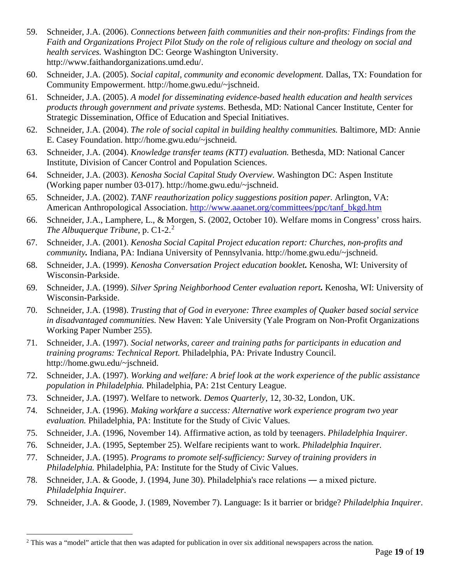- 59. Schneider, J.A. (2006). *Connections between faith communities and their non-profits: Findings from the Faith and Organizations Project Pilot Study on the role of religious culture and theology on social and health services.* Washington DC: George Washington University. [http://www.faithandorganizations.umd.edu/.](http://www.faithandorganizations.umd.edu/)
- 60. Schneider, J.A. (2005). *Social capital, community and economic development.* Dallas, TX: Foundation for Community Empowerment. http://home.gwu.edu/~jschneid.
- 61. Schneider, J.A. (2005). *A model for disseminating evidence-based health education and health services products through government and private systems.* Bethesda, MD: National Cancer Institute, Center for Strategic Dissemination, Office of Education and Special Initiatives.
- 62. Schneider, J.A. (2004). *The role of social capital in building healthy communities.* Baltimore, MD: Annie E. Casey Foundation. http://home.gwu.edu/~jschneid.
- 63. Schneider, J.A. (2004). *Knowledge transfer teams (KTT) evaluation.* Bethesda, MD: National Cancer Institute, Division of Cancer Control and Population Sciences.
- 64. Schneider, J.A. (2003). *Kenosha Social Capital Study Overview.* Washington DC: Aspen Institute (Working paper number 03-017). http://home.gwu.edu/~jschneid.
- 65. Schneider, J.A. (2002). *TANF reauthorization policy suggestions position paper.* Arlington, VA: American Anthropological Association. [http://www.aaanet.org/committees/ppc/tanf\\_bkgd.htm](http://www.aaanet.org/committees/ppc/tanf_bkgd.htm)
- 66. Schneider, J.A., Lamphere, L., & Morgen, S. (2002, October 10). Welfare moms in Congress' cross hairs. *The Albuquerque Tribune*, p. C1-[2](#page-18-0).<sup>2</sup>
- 67. Schneider, J.A. (2001). *Kenosha Social Capital Project education report: Churches, non-profits and community.* Indiana, PA: Indiana University of Pennsylvania. http://home.gwu.edu/~jschneid.
- 68. Schneider, J.A. (1999). *Kenosha Conversation Project education booklet.* Kenosha, WI: University of Wisconsin-Parkside.
- 69. Schneider, J.A. (1999). *Silver Spring Neighborhood Center evaluation report.* Kenosha, WI: University of Wisconsin-Parkside.
- 70. Schneider, J.A. (1998). *Trusting that of God in everyone: Three examples of Quaker based social service in disadvantaged communities.* New Haven: Yale University (Yale Program on Non-Profit Organizations Working Paper Number 255).
- 71. Schneider, J.A. (1997). *Social networks, career and training paths for participants in education and training programs: Technical Report.* Philadelphia, PA: Private Industry Council. http://home.gwu.edu/~jschneid.
- 72. Schneider, J.A. (1997). *Working and welfare: A brief look at the work experience of the public assistance population in Philadelphia.* Philadelphia, PA: 21st Century League.
- 73. Schneider, J.A. (1997). Welfare to network. *Demos Quarterly*, 12, 30-32, London, UK.
- 74. Schneider, J.A. (1996). *Making workfare a success: Alternative work experience program two year evaluation.* Philadelphia, PA: Institute for the Study of Civic Values.
- 75. Schneider, J.A. (1996, November 14). Affirmative action, as told by teenagers. *Philadelphia Inquirer*.
- 76. Schneider, J.A. (1995, September 25). Welfare recipients want to work. *Philadelphia Inquirer.*
- 77. Schneider, J.A. (1995). *Programs to promote self-sufficiency: Survey of training providers in Philadelphia.* Philadelphia, PA: Institute for the Study of Civic Values.
- 78. Schneider, J.A. & Goode, J. (1994, June 30). Philadelphia's race relations ― a mixed picture. *Philadelphia Inquirer*.
- 79. Schneider, J.A. & Goode, J. (1989, November 7). Language: Is it barrier or bridge? *Philadelphia Inquirer*.

<span id="page-18-0"></span><sup>&</sup>lt;sup>2</sup> This was a "model" article that then was adapted for publication in over six additional newspapers across the nation.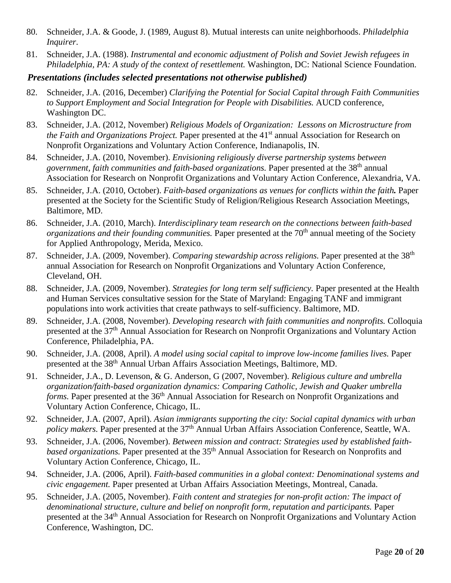- 80. Schneider, J.A. & Goode, J. (1989, August 8). Mutual interests can unite neighborhoods. *Philadelphia Inquirer*.
- 81. Schneider, J.A. (1988). *Instrumental and economic adjustment of Polish and Soviet Jewish refugees in Philadelphia, PA: A study of the context of resettlement.* Washington, DC: National Science Foundation.

### *Presentations (includes selected presentations not otherwise published)*

- 82. Schneider, J.A. (2016, December) *Clarifying the Potential for Social Capital through Faith Communities to Support Employment and Social Integration for People with Disabilities.* AUCD conference, Washington DC.
- 83. Schneider, J.A. (2012, November) *Religious Models of Organization: Lessons on Microstructure from the Faith and Organizations Project.* Paper presented at the 41<sup>st</sup> annual Association for Research on Nonprofit Organizations and Voluntary Action Conference, Indianapolis, IN.
- 84. Schneider, J.A. (2010, November). *Envisioning religiously diverse partnership systems between government, faith communities and faith-based organizations.* Paper presented at the 38th annual Association for Research on Nonprofit Organizations and Voluntary Action Conference, Alexandria, VA.
- 85. Schneider, J.A. (2010, October). *Faith-based organizations as venues for conflicts within the faith.* Paper presented at the Society for the Scientific Study of Religion/Religious Research Association Meetings, Baltimore, MD.
- 86. Schneider, J.A. (2010, March). *Interdisciplinary team research on the connections between faith-based organizations and their founding communities.* Paper presented at the 70<sup>th</sup> annual meeting of the Society for Applied Anthropology, Merida, Mexico.
- 87. Schneider, J.A. (2009, November). *Comparing stewardship across religions*. Paper presented at the 38<sup>th</sup> annual Association for Research on Nonprofit Organizations and Voluntary Action Conference, Cleveland, OH.
- 88. Schneider, J.A. (2009, November). *Strategies for long term self sufficiency.* Paper presented at the Health and Human Services consultative session for the State of Maryland: Engaging TANF and immigrant populations into work activities that create pathways to self-sufficiency. Baltimore, MD.
- 89. Schneider, J.A. (2008, November). *Developing research with faith communities and nonprofits.* Colloquia presented at the 37<sup>th</sup> Annual Association for Research on Nonprofit Organizations and Voluntary Action Conference, Philadelphia, PA.
- 90. Schneider, J.A. (2008, April). *A model using social capital to improve low-income families lives.* Paper presented at the 38<sup>th</sup> Annual Urban Affairs Association Meetings, Baltimore, MD.
- 91. Schneider, J.A., D. Levenson, & G. Anderson, G (2007, November). *Religious culture and umbrella organization/faith-based organization dynamics: Comparing Catholic, Jewish and Quaker umbrella forms*. Paper presented at the 36<sup>th</sup> Annual Association for Research on Nonprofit Organizations and Voluntary Action Conference, Chicago, IL.
- 92. Schneider, J.A. (2007, April). *Asian immigrants supporting the city: Social capital dynamics with urban policy makers.* Paper presented at the 37<sup>th</sup> Annual Urban Affairs Association Conference, Seattle, WA.
- 93. Schneider, J.A. (2006, November). *Between mission and contract: Strategies used by established faithbased organizations.* Paper presented at the 35<sup>th</sup> Annual Association for Research on Nonprofits and Voluntary Action Conference, Chicago, IL.
- 94. Schneider, J.A. (2006, April). *Faith-based communities in a global context: Denominational systems and civic engagement.* Paper presented at Urban Affairs Association Meetings, Montreal, Canada.
- 95. Schneider, J.A. (2005, November). *Faith content and strategies for non-profit action: The impact of denominational structure, culture and belief on nonprofit form, reputation and participants.* Paper presented at the 34<sup>th</sup> Annual Association for Research on Nonprofit Organizations and Voluntary Action Conference, Washington, DC.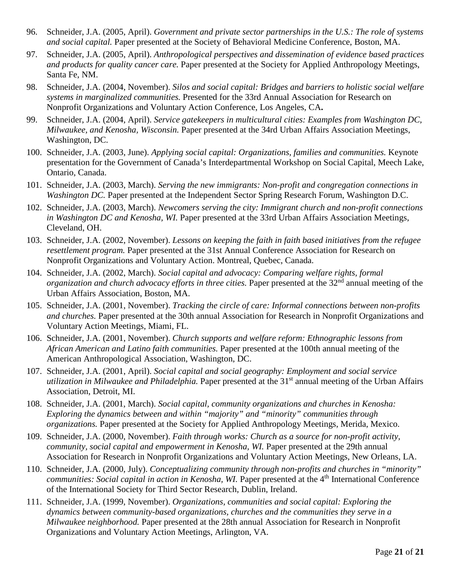- 96. Schneider, J.A. (2005, April). *Government and private sector partnerships in the U.S.: The role of systems and social capital.* Paper presented at the Society of Behavioral Medicine Conference, Boston, MA.
- 97. Schneider, J.A. (2005, April). *Anthropological perspectives and dissemination of evidence based practices and products for quality cancer care.* Paper presented at the Society for Applied Anthropology Meetings, Santa Fe, NM.
- 98. Schneider, J.A. (2004, November). *Silos and social capital: Bridges and barriers to holistic social welfare systems in marginalized communities.* Presented for the 33rd Annual Association for Research on Nonprofit Organizations and Voluntary Action Conference, Los Angeles, CA**.**
- 99. Schneider, J.A. (2004, April). *Service gatekeepers in multicultural cities: Examples from Washington DC, Milwaukee, and Kenosha, Wisconsin.* Paper presented at the 34rd Urban Affairs Association Meetings, Washington, DC.
- 100. Schneider, J.A. (2003, June). *Applying social capital: Organizations, families and communities.* Keynote presentation for the Government of Canada's Interdepartmental Workshop on Social Capital, Meech Lake, Ontario, Canada.
- 101. Schneider, J.A. (2003, March). *Serving the new immigrants: Non-profit and congregation connections in Washington DC.* Paper presented at the Independent Sector Spring Research Forum, Washington D.C.
- 102. Schneider, J.A. (2003, March). *Newcomers serving the city: Immigrant church and non-profit connections in Washington DC and Kenosha, WI.* Paper presented at the 33rd Urban Affairs Association Meetings, Cleveland, OH.
- 103. Schneider, J.A. (2002, November). *Lessons on keeping the faith in faith based initiatives from the refugee resettlement program.* Paper presented at the 31st Annual Conference Association for Research on Nonprofit Organizations and Voluntary Action. Montreal, Quebec, Canada.
- 104. Schneider, J.A. (2002, March). *Social capital and advocacy: Comparing welfare rights, formal organization and church advocacy efforts in three cities.* Paper presented at the 32<sup>nd</sup> annual meeting of the Urban Affairs Association, Boston, MA.
- 105. Schneider, J.A. (2001, November). *Tracking the circle of care: Informal connections between non-profits and churches.* Paper presented at the 30th annual Association for Research in Nonprofit Organizations and Voluntary Action Meetings, Miami, FL.
- 106. Schneider, J.A. (2001, November). *Church supports and welfare reform: Ethnographic lessons from African American and Latino faith communities.* Paper presented at the 100th annual meeting of the American Anthropological Association, Washington, DC.
- 107. Schneider, J.A. (2001, April). *Social capital and social geography: Employment and social service utilization in Milwaukee and Philadelphia.* Paper presented at the 31st annual meeting of the Urban Affairs Association, Detroit, MI.
- 108. Schneider, J.A. (2001, March). *Social capital, community organizations and churches in Kenosha: Exploring the dynamics between and within "majority" and "minority" communities through organizations.* Paper presented at the Society for Applied Anthropology Meetings, Merida, Mexico.
- 109. Schneider, J.A. (2000, November). *Faith through works: Church as a source for non-profit activity, community, social capital and empowerment in Kenosha, WI.* Paper presented at the 29th annual Association for Research in Nonprofit Organizations and Voluntary Action Meetings, New Orleans, LA.
- 110. Schneider, J.A. (2000, July). *Conceptualizing community through non-profits and churches in "minority" communities: Social capital in action in Kenosha, WI.* Paper presented at the 4<sup>th</sup> International Conference of the International Society for Third Sector Research, Dublin, Ireland.
- 111. Schneider, J.A. (1999, November). *Organizations, communities and social capital: Exploring the dynamics between community-based organizations, churches and the communities they serve in a Milwaukee neighborhood.* Paper presented at the 28th annual Association for Research in Nonprofit Organizations and Voluntary Action Meetings, Arlington, VA.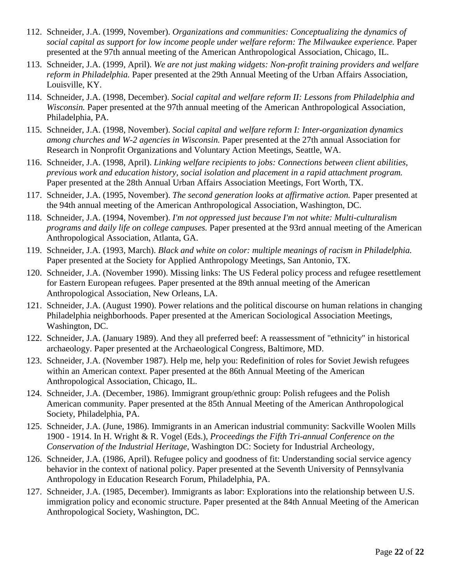- 112. Schneider, J.A. (1999, November). *Organizations and communities: Conceptualizing the dynamics of social capital as support for low income people under welfare reform: The Milwaukee experience.* Paper presented at the 97th annual meeting of the American Anthropological Association, Chicago, IL.
- 113. Schneider, J.A. (1999, April). *We are not just making widgets: Non-profit training providers and welfare reform in Philadelphia.* Paper presented at the 29th Annual Meeting of the Urban Affairs Association, Louisville, KY.
- 114. Schneider, J.A. (1998, December). *Social capital and welfare reform II: Lessons from Philadelphia and Wisconsin.* Paper presented at the 97th annual meeting of the American Anthropological Association, Philadelphia, PA.
- 115. Schneider, J.A. (1998, November). *Social capital and welfare reform I: Inter-organization dynamics among churches and W-2 agencies in Wisconsin.* Paper presented at the 27th annual Association for Research in Nonprofit Organizations and Voluntary Action Meetings, Seattle, WA.
- 116. Schneider, J.A. (1998, April). *Linking welfare recipients to jobs: Connections between client abilities, previous work and education history, social isolation and placement in a rapid attachment program.*  Paper presented at the 28th Annual Urban Affairs Association Meetings, Fort Worth, TX.
- 117. Schneider, J.A. (1995, November). *The second generation looks at affirmative action.* Paper presented at the 94th annual meeting of the American Anthropological Association, Washington, DC.
- 118. Schneider, J.A. (1994, November). *I'm not oppressed just because I'm not white: Multi-culturalism programs and daily life on college campuses.* Paper presented at the 93rd annual meeting of the American Anthropological Association, Atlanta, GA.
- 119. Schneider, J.A. (1993, March). *Black and white on color: multiple meanings of racism in Philadelphia.* Paper presented at the Society for Applied Anthropology Meetings, San Antonio, TX.
- 120. Schneider, J.A. (November 1990). Missing links: The US Federal policy process and refugee resettlement for Eastern European refugees. Paper presented at the 89th annual meeting of the American Anthropological Association, New Orleans, LA.
- 121. Schneider, J.A. (August 1990). Power relations and the political discourse on human relations in changing Philadelphia neighborhoods. Paper presented at the American Sociological Association Meetings, Washington, DC.
- 122. Schneider, J.A. (January 1989). And they all preferred beef: A reassessment of "ethnicity" in historical archaeology. Paper presented at the Archaeological Congress, Baltimore, MD.
- 123. Schneider, J.A. (November 1987). Help me, help you: Redefinition of roles for Soviet Jewish refugees within an American context. Paper presented at the 86th Annual Meeting of the American Anthropological Association, Chicago, IL.
- 124. Schneider, J.A. (December, 1986). Immigrant group/ethnic group: Polish refugees and the Polish American community. Paper presented at the 85th Annual Meeting of the American Anthropological Society, Philadelphia, PA.
- 125. Schneider, J.A. (June, 1986). Immigrants in an American industrial community: Sackville Woolen Mills 1900 - 1914. In H. Wright & R. Vogel (Eds.), *Proceedings the Fifth Tri-annual Conference on the Conservation of the Industrial Heritage*, Washington DC: Society for Industrial Archeology,
- 126. Schneider, J.A. (1986, April). Refugee policy and goodness of fit: Understanding social service agency behavior in the context of national policy. Paper presented at the Seventh University of Pennsylvania Anthropology in Education Research Forum, Philadelphia, PA.
- 127. Schneider, J.A. (1985, December). Immigrants as labor: Explorations into the relationship between U.S. immigration policy and economic structure. Paper presented at the 84th Annual Meeting of the American Anthropological Society, Washington, DC.